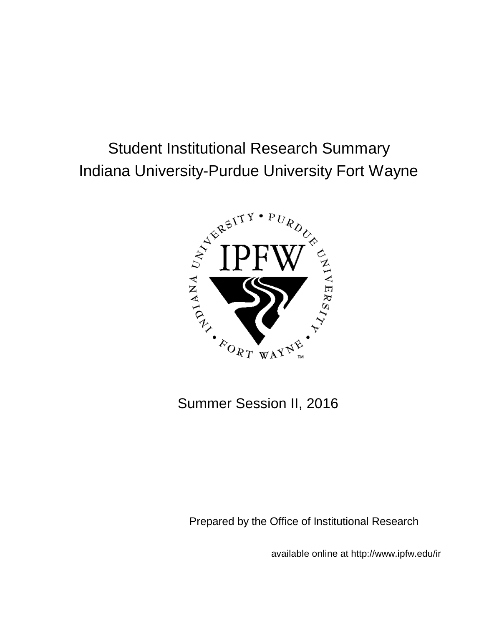# Student Institutional Research Summary Indiana University-Purdue University Fort Wayne



Summer Session II, 2016

Prepared by the Office of Institutional Research

available online at http://www.ipfw.edu/ir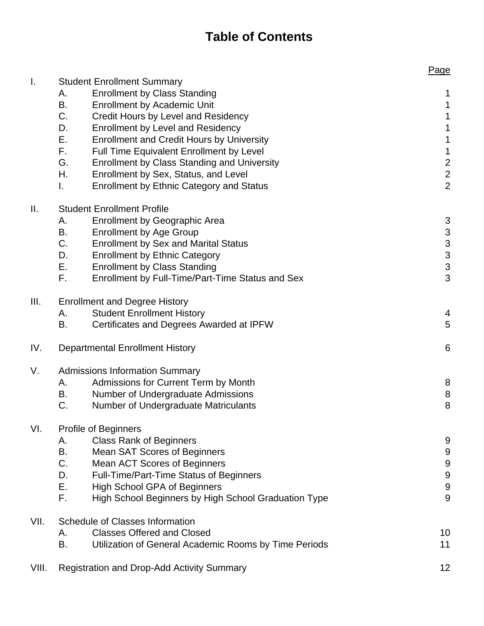## **Table of Contents**

|       |                                                                                                        | Page                                       |
|-------|--------------------------------------------------------------------------------------------------------|--------------------------------------------|
| I.    | <b>Student Enrollment Summary</b>                                                                      |                                            |
|       | <b>Enrollment by Class Standing</b><br>А.                                                              | 1                                          |
|       | В.<br><b>Enrollment by Academic Unit</b>                                                               | $\mathbf 1$                                |
|       | C.<br>Credit Hours by Level and Residency                                                              | $\mathbf 1$                                |
|       | <b>Enrollment by Level and Residency</b><br>D.                                                         | $\mathbf 1$                                |
|       | Е.<br><b>Enrollment and Credit Hours by University</b>                                                 | $\mathbf{1}$                               |
|       | F.<br>Full Time Equivalent Enrollment by Level                                                         | $\mathbf 1$                                |
|       | G.<br><b>Enrollment by Class Standing and University</b><br>Η.<br>Enrollment by Sex, Status, and Level | $\overline{\mathbf{c}}$                    |
|       | <b>Enrollment by Ethnic Category and Status</b><br>L.                                                  | $\overline{\mathbf{c}}$<br>$\overline{2}$  |
| Ш.    | <b>Student Enrollment Profile</b>                                                                      |                                            |
|       | <b>Enrollment by Geographic Area</b><br>А.                                                             | 3                                          |
|       | B.<br><b>Enrollment by Age Group</b>                                                                   |                                            |
|       | C.<br><b>Enrollment by Sex and Marital Status</b>                                                      |                                            |
|       | D.<br><b>Enrollment by Ethnic Category</b>                                                             | $\begin{array}{c} 3 \\ 3 \\ 3 \end{array}$ |
|       | Ε.<br><b>Enrollment by Class Standing</b>                                                              |                                            |
|       | F.<br>Enrollment by Full-Time/Part-Time Status and Sex                                                 | 3                                          |
| III.  | <b>Enrollment and Degree History</b>                                                                   |                                            |
|       | <b>Student Enrollment History</b><br>А.                                                                | 4                                          |
|       | Certificates and Degrees Awarded at IPFW<br>В.                                                         | 5                                          |
| IV.   | <b>Departmental Enrollment History</b>                                                                 | 6                                          |
| V.    | <b>Admissions Information Summary</b>                                                                  |                                            |
|       | Admissions for Current Term by Month<br>А.                                                             | 8                                          |
|       | В.<br>Number of Undergraduate Admissions                                                               | 8                                          |
|       | C.<br>Number of Undergraduate Matriculants                                                             | 8                                          |
| VI.   | <b>Profile of Beginners</b>                                                                            |                                            |
|       | <b>Class Rank of Beginners</b><br>Α.                                                                   | 9                                          |
|       | В.<br><b>Mean SAT Scores of Beginners</b><br>C.<br>Mean ACT Scores of Beginners                        | 9<br>$\boldsymbol{9}$                      |
|       | D.<br>Full-Time/Part-Time Status of Beginners                                                          | $\overline{9}$                             |
|       | Ε.<br><b>High School GPA of Beginners</b>                                                              | $\overline{9}$                             |
|       | F.<br>High School Beginners by High School Graduation Type                                             | 9                                          |
| VII.  | <b>Schedule of Classes Information</b>                                                                 |                                            |
|       | <b>Classes Offered and Closed</b><br>А.                                                                | 10                                         |
|       | B.<br>Utilization of General Academic Rooms by Time Periods                                            | 11                                         |
| VIII. | <b>Registration and Drop-Add Activity Summary</b>                                                      | 12                                         |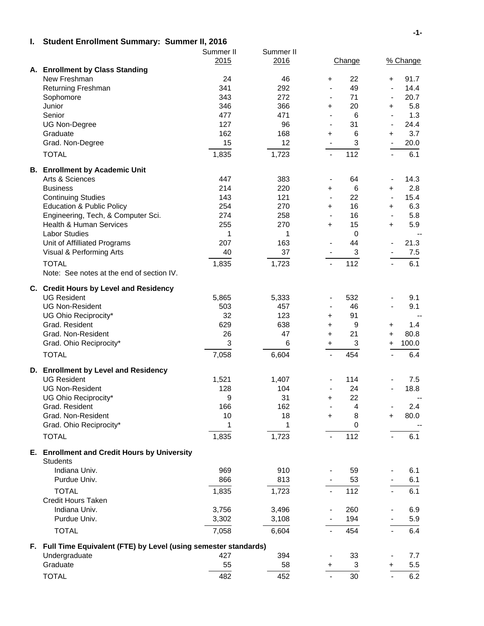#### **I. Student Enrollment Summary: Summer II, 2016**

|                                                                                    | Summer II | Summer II |                                             |                          |          |
|------------------------------------------------------------------------------------|-----------|-----------|---------------------------------------------|--------------------------|----------|
|                                                                                    | 2015      | 2016      | Change                                      |                          | % Change |
| A. Enrollment by Class Standing                                                    |           |           |                                             |                          |          |
| New Freshman                                                                       | 24        | 46        | 22<br>+                                     | $\ddot{}$                | 91.7     |
| Returning Freshman                                                                 | 341       | 292       | 49<br>$\blacksquare$                        | $\blacksquare$           | 14.4     |
| Sophomore                                                                          | 343       | 272       | 71<br>$\blacksquare$                        | $\blacksquare$           | 20.7     |
| Junior                                                                             | 346       | 366       | 20<br>$\ddot{}$                             | $\ddot{}$                | 5.8      |
| Senior                                                                             | 477       | 471       | 6<br>$\blacksquare$                         | $\blacksquare$           | 1.3      |
| <b>UG Non-Degree</b>                                                               | 127       | 96        | 31<br>$\blacksquare$                        | $\frac{1}{2}$            | 24.4     |
| Graduate                                                                           | 162       | 168       | 6<br>+                                      | $\ddot{}$                | 3.7      |
| Grad. Non-Degree                                                                   | 15        | 12        | $\ensuremath{\mathsf{3}}$<br>$\blacksquare$ | $\blacksquare$           | 20.0     |
| <b>TOTAL</b>                                                                       | 1,835     | 1,723     | 112<br>$\blacksquare$                       | $\blacksquare$           | 6.1      |
| <b>B.</b> Enrollment by Academic Unit                                              |           |           |                                             |                          |          |
| Arts & Sciences                                                                    | 447       | 383       | 64<br>$\blacksquare$                        | $\overline{\phantom{a}}$ | 14.3     |
| <b>Business</b>                                                                    | 214       | 220       | $\,6$<br>$\pm$                              | $\ddot{}$                | 2.8      |
| <b>Continuing Studies</b>                                                          | 143       | 121       | 22<br>$\blacksquare$                        | $\frac{1}{2}$            | 15.4     |
| <b>Education &amp; Public Policy</b>                                               | 254       | 270       | 16<br>$\ddot{}$                             | $\ddot{}$                | 6.3      |
| Engineering, Tech, & Computer Sci.                                                 | 274       | 258       | 16<br>$\blacksquare$                        | $\blacksquare$           | 5.8      |
| <b>Health &amp; Human Services</b>                                                 | 255       | 270       | 15<br>$\ddot{}$                             | $\ddot{}$                | 5.9      |
| <b>Labor Studies</b>                                                               | 1         | 1         | $\mathbf 0$                                 |                          | $-$      |
| Unit of Affilliated Programs                                                       | 207       | 163       | 44<br>$\blacksquare$                        | $\blacksquare$           | 21.3     |
| Visual & Performing Arts                                                           | 40        | 37        | $\ensuremath{\mathsf{3}}$                   |                          | 7.5      |
| <b>TOTAL</b>                                                                       | 1,835     | 1,723     | 112<br>$\frac{1}{2}$                        |                          | 6.1      |
| Note: See notes at the end of section IV.                                          |           |           |                                             |                          |          |
| C. Credit Hours by Level and Residency                                             |           |           |                                             |                          |          |
| <b>UG Resident</b>                                                                 | 5,865     | 5,333     | 532<br>$\qquad \qquad \blacksquare$         | $\overline{\phantom{0}}$ | 9.1      |
| <b>UG Non-Resident</b>                                                             | 503       | 457       | 46<br>$\blacksquare$                        |                          | 9.1      |
| UG Ohio Reciprocity*                                                               | 32        | 123       | 91<br>+                                     |                          | $-$      |
| Grad. Resident                                                                     | 629       | 638       | 9<br>+                                      | $\ddot{}$                | 1.4      |
| Grad. Non-Resident                                                                 | 26        | 47        | 21<br>+                                     | $\ddot{}$                | 80.8     |
| Grad. Ohio Reciprocity*                                                            | 3         | 6         | $\ensuremath{\mathsf{3}}$<br>$+$            | $\pm$                    | 100.0    |
| <b>TOTAL</b>                                                                       | 7,058     | 6,604     | 454<br>$\blacksquare$                       | $\blacksquare$           | 6.4      |
| D. Enrollment by Level and Residency                                               |           |           |                                             |                          |          |
| <b>UG Resident</b>                                                                 | 1,521     | 1,407     | 114                                         |                          | 7.5      |
| <b>UG Non-Resident</b>                                                             | 128       | 104       | 24                                          |                          | 18.8     |
| UG Ohio Reciprocity*                                                               | 9         | 31        | 22<br>$\ddot{}$                             |                          |          |
| Grad. Resident                                                                     | 166       | 162       | $\overline{\mathbf{4}}$<br>$\blacksquare$   |                          | 2.4      |
| Grad. Non-Resident                                                                 | 10        | 18        | 8<br>$+$                                    | $\ddot{}$                | 80.0     |
| Grad. Ohio Reciprocity*                                                            | 1         | 1         | 0                                           |                          |          |
| <b>TOTAL</b>                                                                       | 1,835     | 1,723     | 112                                         |                          | 6.1      |
| E. Enrollment and Credit Hours by University                                       |           |           |                                             |                          |          |
| <b>Students</b>                                                                    |           |           |                                             |                          |          |
| Indiana Univ.                                                                      | 969       | 910       | 59                                          |                          | 6.1      |
| Purdue Univ.                                                                       | 866       | 813       | 53                                          |                          | 6.1      |
| <b>TOTAL</b>                                                                       | 1,835     | 1,723     | 112<br>$\blacksquare$                       |                          | 6.1      |
| <b>Credit Hours Taken</b>                                                          |           |           |                                             |                          |          |
| Indiana Univ.                                                                      | 3,756     | 3,496     | 260                                         |                          | 6.9      |
| Purdue Univ.                                                                       | 3,302     | 3,108     | 194                                         |                          | 5.9      |
| <b>TOTAL</b>                                                                       | 7,058     | 6,604     | 454                                         |                          | 6.4      |
|                                                                                    |           |           |                                             |                          |          |
| F. Full Time Equivalent (FTE) by Level (using semester standards)<br>Undergraduate | 427       | 394       | 33                                          |                          | 7.7      |
| Graduate                                                                           | 55        | 58        | 3<br>$\ddot{}$                              | $\ddot{}$                | 5.5      |
|                                                                                    |           |           |                                             |                          |          |
| <b>TOTAL</b>                                                                       | 482       | 452       | 30<br>$\blacksquare$                        |                          | 6.2      |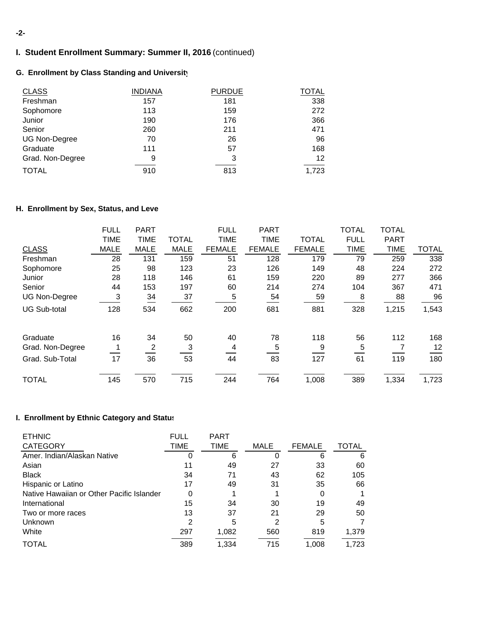#### **-2-**

## **I. Student Enrollment Summary: Summer II, 2016** (continued)

## **G. Enrollment by Class Standing and University**

| <b>CLASS</b>         | <b>INDIANA</b> | <b>PURDUE</b> | TOTAL |
|----------------------|----------------|---------------|-------|
| Freshman             | 157            | 181           | 338   |
| Sophomore            | 113            | 159           | 272   |
| Junior               | 190            | 176           | 366   |
| Senior               | 260            | 211           | 471   |
| <b>UG Non-Degree</b> | 70             | 26            | 96    |
| Graduate             | 111            | 57            | 168   |
| Grad. Non-Degree     | 9              | 3             | 12    |
| <b>TOTAL</b>         | 910            | 813           | 1,723 |

## **H. Enrollment by Sex, Status, and Leve**

|                     | <b>FULL</b> | <b>PART</b> |              | <b>FULL</b>   | <b>PART</b>   |               | <b>TOTAL</b> | <b>TOTAL</b> |              |
|---------------------|-------------|-------------|--------------|---------------|---------------|---------------|--------------|--------------|--------------|
|                     | <b>TIME</b> | <b>TIME</b> | <b>TOTAL</b> | <b>TIME</b>   | <b>TIME</b>   | <b>TOTAL</b>  | <b>FULL</b>  | <b>PART</b>  |              |
| <b>CLASS</b>        | <b>MALE</b> | <b>MALE</b> | <b>MALE</b>  | <b>FEMALE</b> | <b>FEMALE</b> | <b>FEMALE</b> | <b>TIME</b>  | <b>TIME</b>  | <b>TOTAL</b> |
| Freshman            | 28          | 131         | 159          | 51            | 128           | 179           | 79           | 259          | 338          |
| Sophomore           | 25          | 98          | 123          | 23            | 126           | 149           | 48           | 224          | 272          |
| Junior              | 28          | 118         | 146          | 61            | 159           | 220           | 89           | 277          | 366          |
| Senior              | 44          | 153         | 197          | 60            | 214           | 274           | 104          | 367          | 471          |
| UG Non-Degree       | 3           | 34          | 37           | 5             | 54            | 59            | 8            | 88           | 96           |
| <b>UG Sub-total</b> | 128         | 534         | 662          | 200           | 681           | 881           | 328          | 1,215        | 1,543        |
| Graduate            | 16          | 34          | 50           | 40            | 78            | 118           | 56           | 112          | 168          |
| Grad. Non-Degree    |             | 2           | 3            | 4             | 5             | 9             | 5            |              | 12           |
| Grad. Sub-Total     | 17          | 36          | 53           | 44            | 83            | 127           | 61           | 119          | 180          |
| <b>TOTAL</b>        | 145         | 570         | 715          | 244           | 764           | 1,008         | 389          | 1,334        | 1,723        |

#### **I. Enrollment by Ethnic Category and Status**

| <b>ETHNIC</b>                             | <b>FULL</b> | <b>PART</b> |             |               |              |
|-------------------------------------------|-------------|-------------|-------------|---------------|--------------|
| <b>CATEGORY</b>                           | TIME        | <b>TIME</b> | <b>MALE</b> | <b>FEMALE</b> | <b>TOTAL</b> |
| Amer. Indian/Alaskan Native               | 0           | 6           | 0           | 6             | 6            |
| Asian                                     | 11          | 49          | 27          | 33            | 60           |
| <b>Black</b>                              | 34          | 71          | 43          | 62            | 105          |
| Hispanic or Latino                        | 17          | 49          | 31          | 35            | 66           |
| Native Hawaiian or Other Pacific Islander | 0           |             |             | 0             |              |
| International                             | 15          | 34          | 30          | 19            | 49           |
| Two or more races                         | 13          | 37          | 21          | 29            | 50           |
| <b>Unknown</b>                            | 2           | 5           | 2           | 5             |              |
| White                                     | 297         | 1,082       | 560         | 819           | 1,379        |
| TOTAL                                     | 389         | 1,334       | 715         | 1.008         | 1,723        |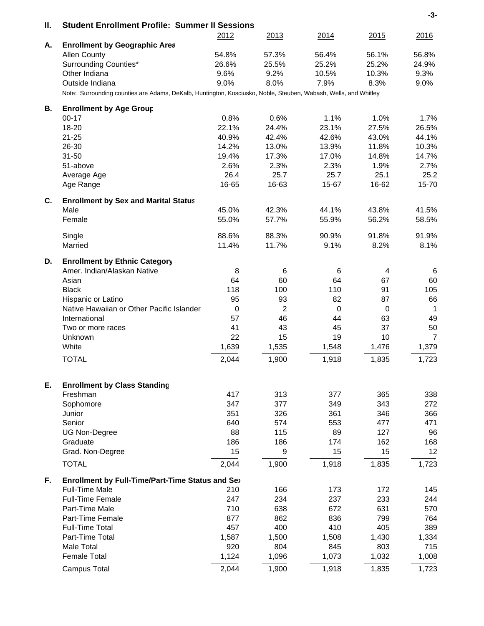| Ш. | <b>Student Enrollment Profile: Summer II Sessions</b>                                                           |             |                |             |             | -3-   |
|----|-----------------------------------------------------------------------------------------------------------------|-------------|----------------|-------------|-------------|-------|
|    |                                                                                                                 | 2012        | 2013           | 2014        | 2015        | 2016  |
| А. | <b>Enrollment by Geographic Area</b>                                                                            |             |                |             |             |       |
|    | <b>Allen County</b>                                                                                             | 54.8%       | 57.3%          | 56.4%       | 56.1%       | 56.8% |
|    | Surrounding Counties*                                                                                           | 26.6%       | 25.5%          | 25.2%       | 25.2%       | 24.9% |
|    | Other Indiana                                                                                                   | 9.6%        | 9.2%           | 10.5%       | 10.3%       | 9.3%  |
|    | Outside Indiana                                                                                                 | 9.0%        | 8.0%           | 7.9%        | 8.3%        | 9.0%  |
|    | Note: Surrounding counties are Adams, DeKalb, Huntington, Kosciusko, Noble, Steuben, Wabash, Wells, and Whitley |             |                |             |             |       |
| В. | <b>Enrollment by Age Group</b>                                                                                  |             |                |             |             |       |
|    | $00 - 17$                                                                                                       | 0.8%        | 0.6%           | 1.1%        | 1.0%        | 1.7%  |
|    | 18-20                                                                                                           | 22.1%       | 24.4%          | 23.1%       | 27.5%       | 26.5% |
|    | $21 - 25$                                                                                                       | 40.9%       | 42.4%          | 42.6%       | 43.0%       | 44.1% |
|    | 26-30                                                                                                           | 14.2%       | 13.0%          | 13.9%       | 11.8%       | 10.3% |
|    | $31 - 50$                                                                                                       | 19.4%       | 17.3%          | 17.0%       | 14.8%       | 14.7% |
|    | 51-above                                                                                                        | 2.6%        | 2.3%           | 2.3%        | 1.9%        | 2.7%  |
|    | Average Age                                                                                                     | 26.4        | 25.7           | 25.7        | 25.1        | 25.2  |
|    | Age Range                                                                                                       | 16-65       | 16-63          | 15-67       | 16-62       | 15-70 |
| C. | <b>Enrollment by Sex and Marital Status</b>                                                                     |             |                |             |             |       |
|    | Male                                                                                                            | 45.0%       | 42.3%          | 44.1%       | 43.8%       | 41.5% |
|    | Female                                                                                                          | 55.0%       | 57.7%          | 55.9%       | 56.2%       | 58.5% |
|    | Single                                                                                                          | 88.6%       | 88.3%          | 90.9%       | 91.8%       | 91.9% |
|    | Married                                                                                                         | 11.4%       | 11.7%          | 9.1%        | 8.2%        | 8.1%  |
| D. | <b>Enrollment by Ethnic Category</b>                                                                            |             |                |             |             |       |
|    | Amer. Indian/Alaskan Native                                                                                     | 8           | 6              | 6           | 4           | 6     |
|    | Asian                                                                                                           | 64          | 60             | 64          | 67          | 60    |
|    | <b>Black</b>                                                                                                    | 118         | 100            | 110         | 91          | 105   |
|    | Hispanic or Latino                                                                                              | 95          | 93             | 82          | 87          | 66    |
|    | Native Hawaiian or Other Pacific Islander                                                                       | $\mathbf 0$ | $\overline{2}$ | $\mathbf 0$ | $\mathbf 0$ | 1     |
|    | International                                                                                                   | 57          | 46             | 44          | 63          | 49    |
|    | Two or more races                                                                                               | 41          | 43             | 45          | 37          | 50    |
|    | Unknown                                                                                                         | 22          | 15             | 19          | 10          | 7     |
|    | White                                                                                                           | 1,639       | 1,535          | 1,548       | 1,476       | 1,379 |
|    | <b>TOTAL</b>                                                                                                    | 2,044       | 1,900          | 1,918       | 1,835       | 1,723 |
|    |                                                                                                                 |             |                |             |             |       |
| Е. | <b>Enrollment by Class Standing</b>                                                                             |             |                |             |             |       |
|    | Freshman                                                                                                        | 417         | 313            | 377         | 365         | 338   |
|    | Sophomore                                                                                                       | 347         | 377            | 349         | 343         | 272   |
|    | Junior                                                                                                          | 351         | 326            | 361         | 346         | 366   |
|    | Senior                                                                                                          | 640         | 574            | 553         | 477         | 471   |
|    | <b>UG Non-Degree</b>                                                                                            | 88          | 115            | 89          | 127         | 96    |
|    | Graduate                                                                                                        | 186         | 186            | 174         | 162         | 168   |
|    | Grad. Non-Degree                                                                                                | 15          | 9              | 15          | 15          | 12    |
|    | <b>TOTAL</b>                                                                                                    | 2,044       | 1,900          | 1,918       | 1,835       | 1,723 |
| F. | Enrollment by Full-Time/Part-Time Status and Sex                                                                |             |                |             |             |       |
|    | <b>Full-Time Male</b>                                                                                           | 210         | 166            | 173         | 172         | 145   |
|    | <b>Full-Time Female</b>                                                                                         | 247         | 234            | 237         | 233         | 244   |
|    | Part-Time Male                                                                                                  | 710         | 638            | 672         | 631         | 570   |
|    | Part-Time Female                                                                                                | 877         | 862            | 836         | 799         | 764   |
|    | <b>Full-Time Total</b>                                                                                          | 457         | 400            | 410         | 405         | 389   |
|    | Part-Time Total                                                                                                 | 1,587       | 1,500          | 1,508       | 1,430       | 1,334 |
|    | Male Total                                                                                                      | 920         | 804            | 845         | 803         | 715   |
|    | <b>Female Total</b>                                                                                             | 1,124       | 1,096          | 1,073       | 1,032       | 1,008 |
|    | <b>Campus Total</b>                                                                                             | 2,044       | 1,900          | 1,918       | 1,835       | 1,723 |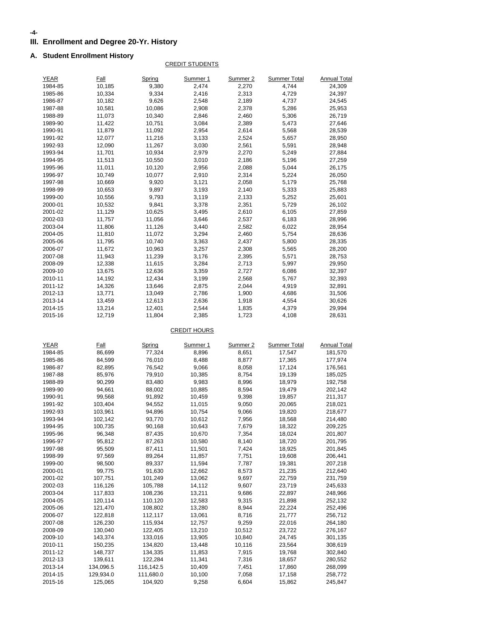#### **-4-**

## **III. Enrollment and Degree 20-Yr. History**

#### **A. Student Enrollment History**

#### CREDIT STUDENTS

| <b>YEAR</b>        | <b>Fall</b>          | Spring               | Summer 1            | Summer 2       | <b>Summer Total</b> | <b>Annual Total</b> |
|--------------------|----------------------|----------------------|---------------------|----------------|---------------------|---------------------|
| 1984-85            | 10,185               | 9,380                | 2,474               | 2,270          | 4,744               | 24,309              |
| 1985-86            | 10,334               | 9,334                | 2,416               | 2,313          | 4,729               | 24,397              |
| 1986-87            | 10,182               | 9,626                | 2,548               | 2,189          | 4,737               | 24,545              |
| 1987-88            | 10,581               | 10,086               | 2,908               | 2,378          | 5,286               | 25,953              |
| 1988-89            | 11,073               | 10,340               | 2,846               | 2,460          | 5,306               | 26,719              |
| 1989-90            | 11,422               | 10,751               | 3,084               | 2,389          | 5,473               | 27,646              |
| 1990-91            | 11,879               | 11,092               | 2,954               | 2,614          | 5,568               | 28,539              |
| 1991-92            | 12,077               | 11,216               | 3,133               | 2,524          | 5,657               | 28,950              |
| 1992-93            | 12,090               | 11,267               | 3,030               | 2,561          | 5,591               | 28,948              |
| 1993-94            | 11,701               | 10,934               | 2,979               | 2,270          | 5,249               | 27,884              |
| 1994-95            | 11,513               | 10,550               | 3,010               | 2,186          | 5,196               | 27,259              |
| 1995-96            | 11,011               | 10,120               | 2,956               | 2,088          | 5,044               | 26,175              |
| 1996-97            | 10,749               | 10,077               | 2,910               | 2,314          | 5,224               | 26,050              |
| 1997-98            | 10,669               | 9,920                | 3,121               | 2,058          | 5,179               | 25,768              |
| 1998-99            | 10,653               | 9,897                | 3,193               | 2,140          | 5,333               | 25,883              |
| 1999-00            | 10,556               | 9,793                | 3,119               | 2,133          | 5,252               | 25,601              |
| 2000-01            | 10,532               | 9,841                | 3,378               | 2,351          | 5,729               | 26,102              |
| 2001-02            | 11,129               | 10,625               | 3,495               | 2,610          | 6,105               | 27,859              |
| 2002-03            | 11,757               | 11,056               | 3,646               | 2,537          | 6,183               | 28,996              |
| 2003-04            | 11,806               | 11,126               | 3,440               | 2,582          | 6,022               | 28,954              |
| 2004-05            | 11,810               | 11,072               | 3,294               | 2,460          | 5,754               | 28,636              |
| 2005-06            | 11,795               | 10,740               | 3,363               | 2,437          | 5,800               | 28,335              |
| 2006-07            | 11,672               | 10,963               | 3,257               | 2,308          | 5,565               | 28,200              |
| 2007-08            | 11,943               | 11,239               | 3,176               | 2,395          | 5,571               | 28,753              |
| 2008-09            | 12,338               | 11,615               | 3,284               | 2,713          | 5,997               | 29,950              |
| 2009-10            | 13,675               | 12,636               | 3,359               | 2,727          | 6,086               | 32,397              |
| 2010-11            | 14,192               | 12,434               | 3,199               | 2,568          | 5,767               | 32,393              |
| 2011-12            | 14,326               | 13,646               | 2,875               | 2,044          | 4,919               | 32,891              |
| 2012-13            | 13,771               | 13,049               | 2,786               | 1,900          | 4,686               | 31,506              |
| 2013-14            | 13,459               | 12,613               | 2,636               | 1,918          | 4,554               | 30,626              |
| 2014-15            | 13,214               | 12,401               | 2,544               | 1,835          | 4,379               | 29,994              |
| 2015-16            | 12,719               | 11,804               | 2,385               | 1,723          | 4,108               | 28,631              |
|                    |                      |                      | <b>CREDIT HOURS</b> |                |                     |                     |
| <b>YEAR</b>        | <b>Fall</b>          | Spring               | Summer 1            | Summer 2       | <b>Summer Total</b> | <b>Annual Total</b> |
| 1984-85            | 86,699               | 77,324               | 8,896               | 8,651          | 17,547              | 181,570             |
| 1985-86            | 84,599               | 76,010               | 8,488               | 8,877          | 17,365              | 177,974             |
| 1986-87            | 82,895               | 76,542               | 9,066               | 8,058          | 17,124              | 176,561             |
| 1987-88            | 85,976               | 79,910               | 10,385              | 8,754          | 19,139              | 185,025             |
| 1988-89            | 90,299               | 83,480               | 9,983               | 8,996          | 18,979              | 192,758             |
| 1989-90            | 94,661               | 88,002               | 10,885              | 8,594          | 19,479              | 202,142             |
| 1990-91            | 99,568               | 91,892               | 10,459              | 9,398          | 19,857              | 211,317             |
| 1991-92            | 103,404              | 94,552               | 11,015              | 9,050          | 20,065              | 218,021             |
| 1992-93            | 103,961              | 94,896               | 10,754              | 9,066          | 19,820              | 218,677             |
| 1993-94            | 102,142              | 93,770               | 10,612              | 7,956          | 18,568              | 214,480             |
| 1994-95            | 100.735              | 90,168               | 10,643              | 7,679          | 18,322              | 209.225             |
| 1995-96            | 96,348               | 87,435               | 10,670              | 7,354          | 18,024              | 201,807             |
| 1996-97            | 95,812               | 87,263               | 10,580              | 8,140          | 18,720              | 201,795             |
| 1997-98            | 95,509               | 87,411               | 11,501              | 7,424          | 18,925              | 201,845             |
| 1998-99            | 97,569               | 89,264               | 11,857              | 7,751          | 19,608              | 206,441             |
| 1999-00            | 98,500               | 89,337               | 11,594              | 7,787          | 19,381              | 207,218             |
| 2000-01            | 99,775               | 91,630               | 12,662              | 8,573          | 21,235              | 212,640             |
| 2001-02            | 107,751              | 101,249              | 13,062              | 9,697          | 22,759              | 231,759             |
| 2002-03            | 116,126              | 105,788              | 14,112              | 9,607          | 23,719              | 245,633             |
| 2003-04            | 117,833              | 108,236              | 13,211              | 9,686          | 22,897              | 248,966             |
| 2004-05            | 120,114              | 110,120              | 12,583              | 9,315          | 21,898              | 252,132             |
| 2005-06            | 121,470              | 108,802              | 13,280              | 8,944          | 22,224              | 252,496             |
| 2006-07            | 122,818              | 112,117              | 13,061              | 8,716          | 21,777              | 256,712             |
| 2007-08            | 126,230              | 115,934              | 12,757              | 9,259          | 22,016              | 264,180             |
| 2008-09            | 130,040              | 122,405              | 13,210              | 10,512         | 23,722              | 276,167             |
| 2009-10            | 143,374              | 133,016              | 13,905              | 10,840         | 24,745              | 301,135             |
| 2010-11            | 150,235              | 134,820              | 13,448              | 10,116         | 23,564              | 308,619             |
| 2011-12            | 148,737              | 134,335              | 11,853              | 7,915          | 19,768              | 302,840             |
| 2012-13            | 139,611              | 122,284              | 11,341              | 7,316          | 18,657              | 280,552             |
| 2013-14            | 134,096.5            | 116,142.5            | 10,409              | 7,451          | 17,860              | 268,099             |
| 2014-15<br>2015-16 | 129,934.0<br>125,065 | 111,680.0<br>104,920 | 10,100<br>9,258     | 7,058<br>6,604 | 17,158<br>15,862    | 258,772<br>245,847  |
|                    |                      |                      |                     |                |                     |                     |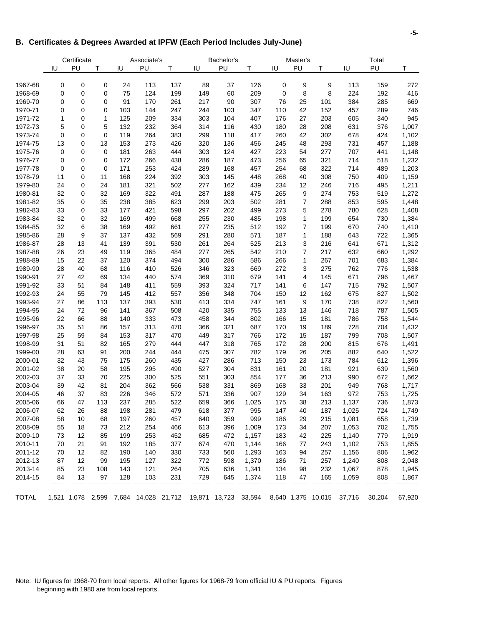#### **B. Certificates & Degrees Awarded at IPFW (Each Period Includes July-June)**

|              |    | Certificate |             |     | Associate's                           |     |     | Bachelor's |                      |     | Master's |                    |        | Total  |        |
|--------------|----|-------------|-------------|-----|---------------------------------------|-----|-----|------------|----------------------|-----|----------|--------------------|--------|--------|--------|
|              | IU | PU          | T           | IU  | PU                                    | т   | IU  | PU         | T                    | IU  | PU       | Т                  | IU     | PU     | Τ      |
| 1967-68      | 0  | $\mathbf 0$ | 0           | 24  | 113                                   | 137 | 89  | 37         | 126                  | 0   | 9        | 9                  | 113    | 159    | 272    |
| 1968-69      | 0  | 0           | 0           | 75  | 124                                   | 199 | 149 | 60         | 209                  | 0   | 8        | 8                  | 224    | 192    | 416    |
| 1969-70      | 0  | 0           | 0           | 91  | 170                                   | 261 | 217 | 90         | 307                  | 76  | 25       | 101                | 384    | 285    | 669    |
| 1970-71      | 0  | 0           | 0           | 103 | 144                                   | 247 | 244 | 103        | 347                  | 110 | 42       | 152                | 457    | 289    | 746    |
| 1971-72      | 1  | 0           | 1           | 125 | 209                                   | 334 | 303 | 104        | 407                  | 176 | 27       | 203                | 605    | 340    | 945    |
| 1972-73      | 5  | 0           | 5           | 132 | 232                                   | 364 | 314 | 116        | 430                  | 180 | 28       | 208                | 631    | 376    | 1,007  |
| 1973-74      | 0  | $\mathbf 0$ | $\mathbf 0$ | 119 | 264                                   | 383 | 299 | 118        | 417                  | 260 | 42       | 302                | 678    | 424    | 1,102  |
| 1974-75      | 13 | 0           | 13          | 153 | 273                                   | 426 | 320 | 136        | 456                  | 245 | 48       | 293                | 731    | 457    | 1,188  |
| 1975-76      | 0  | 0           | 0           | 181 | 263                                   | 444 | 303 | 124        | 427                  | 223 | 54       | 277                | 707    | 441    | 1,148  |
| 1976-77      | 0  | 0           | 0           | 172 | 266                                   | 438 | 286 | 187        | 473                  | 256 | 65       | 321                | 714    | 518    | 1,232  |
| 1977-78      | 0  | $\mathbf 0$ | 0           | 171 | 253                                   | 424 | 289 | 168        | 457                  | 254 | 68       | 322                | 714    | 489    | 1,203  |
| 1978-79      | 11 | 0           | 11          | 168 | 224                                   | 392 | 303 | 145        | 448                  | 268 | 40       | 308                | 750    | 409    | 1,159  |
| 1979-80      | 24 | 0           | 24          | 181 | 321                                   | 502 | 277 | 162        | 439                  | 234 | 12       | 246                | 716    | 495    | 1,211  |
| 1980-81      | 32 | 0           | 32          | 169 | 322                                   | 491 | 287 | 188        | 475                  | 265 | 9        | 274                | 753    | 519    | 1,272  |
| 1981-82      | 35 | $\mathbf 0$ | 35          | 238 | 385                                   | 623 | 299 | 203        | 502                  | 281 | 7        | 288                | 853    | 595    | 1,448  |
| 1982-83      | 33 | 0           | 33          | 177 | 421                                   | 598 | 297 | 202        | 499                  | 273 | 5        | 278                | 780    | 628    | 1,408  |
| 1983-84      | 32 | 0           | 32          | 169 | 499                                   | 668 | 255 | 230        | 485                  | 198 | 1        | 199                | 654    | 730    | 1,384  |
| 1984-85      | 32 | 6           | 38          | 169 | 492                                   | 661 | 277 | 235        | 512                  | 192 | 7        | 199                | 670    | 740    | 1,410  |
| 1985-86      | 28 | 9           | 37          | 137 | 432                                   | 569 | 291 | 280        | 571                  | 187 | 1        | 188                | 643    | 722    | 1,365  |
| 1986-87      | 28 | 13          | 41          | 139 | 391                                   | 530 | 261 | 264        | 525                  | 213 | 3        | 216                | 641    | 671    | 1,312  |
| 1987-88      | 26 | 23          | 49          | 119 | 365                                   | 484 | 277 | 265        | 542                  | 210 | 7        | 217                | 632    | 660    | 1,292  |
| 1988-89      | 15 | 22          | 37          | 120 | 374                                   | 494 | 300 | 286        | 586                  | 266 | 1        | 267                | 701    | 683    | 1,384  |
| 1989-90      | 28 | 40          | 68          | 116 | 410                                   | 526 | 346 | 323        | 669                  | 272 | 3        | 275                | 762    | 776    | 1,538  |
| 1990-91      | 27 | 42          | 69          | 134 | 440                                   | 574 | 369 | 310        | 679                  | 141 | 4        | 145                | 671    | 796    | 1,467  |
| 1991-92      | 33 | 51          | 84          | 148 | 411                                   | 559 | 393 | 324        | 717                  | 141 | 6        | 147                | 715    | 792    | 1,507  |
| 1992-93      | 24 | 55          | 79          | 145 | 412                                   | 557 | 356 | 348        | 704                  | 150 | 12       | 162                | 675    | 827    | 1,502  |
| 1993-94      | 27 | 86          | 113         | 137 | 393                                   | 530 | 413 | 334        | 747                  | 161 | 9        | 170                | 738    | 822    | 1,560  |
| 1994-95      | 24 | 72          | 96          | 141 | 367                                   | 508 | 420 | 335        | 755                  | 133 | 13       | 146                | 718    | 787    | 1,505  |
| 1995-96      | 22 | 66          | 88          | 140 | 333                                   | 473 | 458 | 344        | 802                  | 166 | 15       | 181                | 786    | 758    | 1,544  |
| 1996-97      | 35 | 51          | 86          | 157 | 313                                   | 470 | 366 | 321        | 687                  | 170 | 19       | 189                | 728    | 704    | 1,432  |
| 1997-98      | 25 | 59          | 84          | 153 | 317                                   | 470 | 449 | 317        | 766                  | 172 | 15       | 187                | 799    | 708    | 1,507  |
| 1998-99      | 31 | 51          | 82          | 165 | 279                                   | 444 | 447 | 318        | 765                  | 172 | 28       | 200                | 815    | 676    | 1,491  |
| 1999-00      | 28 | 63          | 91          | 200 | 244                                   | 444 | 475 | 307        | 782                  | 179 | 26       | 205                | 882    | 640    | 1,522  |
| 2000-01      | 32 | 43          | 75          | 175 | 260                                   | 435 | 427 | 286        | 713                  | 150 | 23       | 173                | 784    | 612    | 1,396  |
| 2001-02      | 38 | 20          | 58          | 195 | 295                                   | 490 | 527 | 304        | 831                  | 161 | 20       | 181                | 921    | 639    | 1,560  |
| 2002-03      | 37 | 33          | 70          | 225 | 300                                   | 525 | 551 | 303        | 854                  | 177 | 36       | 213                | 990    | 672    | 1,662  |
| 2003-04      | 39 | 42          | 81          | 204 | 362                                   | 566 | 538 | 331        | 869                  | 168 | 33       | 201                | 949    | 768    | 1,717  |
| 2004-05      | 46 | 37          | 83          | 226 | 346                                   | 572 | 571 | 336        | 907                  | 129 | 34       | 163                | 972    | 753    | 1,725  |
| 2005-06      | 66 | 47          | 113         | 237 | 285                                   | 522 | 659 | 366        | 1,025                | 175 | 38       | 213                | 1,137  | 736    | 1,873  |
| 2006-07      | 62 | 26          | 88          | 198 | 281                                   | 479 | 618 | 377        | 995                  | 147 | 40       | 187                | 1,025  | 724    | 1,749  |
| 2007-08      | 58 | 10          | 68          | 197 | 260                                   | 457 | 640 | 359        | 999                  | 186 | 29       | 215                | 1,081  | 658    | 1,739  |
| 2008-09      | 55 | 18          | 73          | 212 | 254                                   | 466 | 613 | 396        | 1,009                | 173 | 34       | 207                | 1,053  | 702    | 1,755  |
| 2009-10      | 73 | 12          | 85          | 199 | 253                                   | 452 | 685 | 472        | 1,157                | 183 | 42       | 225                | 1,140  | 779    | 1,919  |
| 2010-11      | 70 | 21          | 91          | 192 | 185                                   | 377 | 674 | 470        | 1,144                | 166 | 77       | 243                | 1,102  | 753    | 1,855  |
| 2011-12      | 70 | 12          | 82          | 190 | 140                                   | 330 | 733 | 560        | 1,293                | 163 | 94       | 257                | 1,156  | 806    | 1,962  |
| 2012-13      | 87 | 12          | 99          | 195 | 127                                   | 322 | 772 | 598        | 1,370                | 186 | 71       | 257                | 1,240  | 808    | 2,048  |
| 2013-14      | 85 | 23          | 108         | 143 | 121                                   | 264 | 705 | 636        | 1,341                | 134 | 98       | 232                | 1,067  | 878    | 1,945  |
| 2014-15      | 84 | 13          | 97          | 128 | 103                                   | 231 | 729 | 645        | 1,374                | 118 | 47       | 165                | 1,059  | 808    | 1,867  |
| <b>TOTAL</b> |    |             |             |     | 1,521 1,078 2,599 7,684 14,028 21,712 |     |     |            | 19,871 13,723 33,594 |     |          | 8,640 1,375 10,015 | 37,716 | 30,204 | 67,920 |

Note: IU figures for 1968-70 from local reports. All other figures for 1968-79 from official IU & PU reports. Figures beginning with 1980 are from local reports.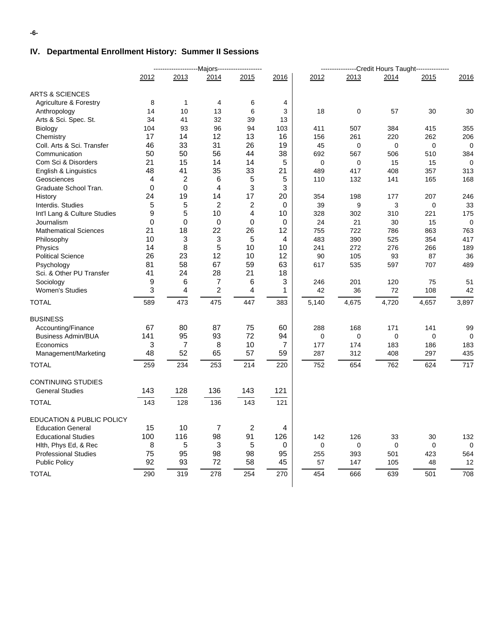## **IV. Departmental Enrollment History: Summer II Sessions**

|                                   |      |      | -----------------------Majors------------------- |      |             |       |       | --Credit Hours Taught--------------- |             |             |
|-----------------------------------|------|------|--------------------------------------------------|------|-------------|-------|-------|--------------------------------------|-------------|-------------|
|                                   | 2012 | 2013 | 2014                                             | 2015 | 2016        | 2012  | 2013  | 2014                                 | 2015        | 2016        |
| <b>ARTS &amp; SCIENCES</b>        |      |      |                                                  |      |             |       |       |                                      |             |             |
| <b>Agriculture &amp; Forestry</b> | 8    | 1    | 4                                                | 6    | 4           |       |       |                                      |             |             |
| Anthropology                      | 14   | 10   | 13                                               | 6    | 3           | 18    | 0     | 57                                   | 30          | 30          |
| Arts & Sci. Spec. St.             | 34   | 41   | 32                                               | 39   | 13          |       |       |                                      |             |             |
| Biology                           | 104  | 93   | 96                                               | 94   | 103         | 411   | 507   | 384                                  | 415         | 355         |
| Chemistry                         | 17   | 14   | 12                                               | 13   | 16          | 156   | 261   | 220                                  | 262         | 206         |
| Coll. Arts & Sci. Transfer        | 46   | 33   | 31                                               | 26   | 19          | 45    | 0     | 0                                    | $\mathbf 0$ | 0           |
| Communication                     | 50   | 50   | 56                                               | 44   | 38          | 692   | 567   | 506                                  | 510         | 384         |
| Com Sci & Disorders               | 21   | 15   | 14                                               | 14   | 5           | 0     | 0     | 15                                   | 15          | 0           |
| English & Linguistics             | 48   | 41   | 35                                               | 33   | 21          | 489   | 417   | 408                                  | 357         | 313         |
| Geosciences                       | 4    | 2    | 6                                                | 5    | 5           | 110   | 132   | 141                                  | 165         | 168         |
| Graduate School Tran.             | 0    | 0    | 4                                                | 3    | 3           |       |       |                                      |             |             |
| History                           | 24   | 19   | 14                                               | 17   | 20          | 354   | 198   | 177                                  | 207         | 246         |
| Interdis. Studies                 | 5    | 5    | 2                                                | 2    | 0           | 39    | 9     | 3                                    | 0           | 33          |
| Int'l Lang & Culture Studies      | 9    | 5    | 10                                               | 4    | 10          | 328   | 302   | 310                                  | 221         | 175         |
| Journalism                        | 0    | 0    | $\boldsymbol{0}$                                 | 0    | $\mathbf 0$ | 24    | 21    | 30                                   | 15          | $\mathbf 0$ |
| <b>Mathematical Sciences</b>      | 21   | 18   | 22                                               | 26   | 12          | 755   | 722   | 786                                  | 863         | 763         |
| Philosophy                        | 10   | 3    | 3                                                | 5    | 4           | 483   | 390   | 525                                  | 354         | 417         |
| Physics                           | 14   | 8    | 5                                                | 10   | 10          | 241   | 272   | 276                                  | 266         | 189         |
| <b>Political Science</b>          | 26   | 23   | 12                                               | 10   | 12          | 90    | 105   | 93                                   | 87          | 36          |
| Psychology                        | 81   | 58   | 67                                               | 59   | 63          | 617   | 535   | 597                                  | 707         | 489         |
| Sci. & Other PU Transfer          | 41   | 24   | 28                                               | 21   | 18          |       |       |                                      |             |             |
| Sociology                         | 9    | 6    | 7                                                | 6    | 3           | 246   | 201   | 120                                  | 75          | 51          |
| <b>Women's Studies</b>            | 3    | 4    | $\overline{\mathbf{c}}$                          | 4    | 1           | 42    | 36    | 72                                   | 108         | 42          |
| <b>TOTAL</b>                      | 589  | 473  | 475                                              | 447  | 383         | 5,140 | 4,675 | 4,720                                | 4,657       | 3,897       |
| <b>BUSINESS</b>                   |      |      |                                                  |      |             |       |       |                                      |             |             |
| Accounting/Finance                | 67   | 80   | 87                                               | 75   | 60          | 288   | 168   | 171                                  | 141         | 99          |
| <b>Business Admin/BUA</b>         | 141  | 95   | 93                                               | 72   | 94          | 0     | 0     | 0                                    | $\mathbf 0$ | 0           |
| Economics                         | 3    | 7    | 8                                                | 10   | 7           | 177   | 174   | 183                                  | 186         | 183         |
| Management/Marketing              | 48   | 52   | 65                                               | 57   | 59          | 287   | 312   | 408                                  | 297         | 435         |
| <b>TOTAL</b>                      | 259  | 234  | 253                                              | 214  | 220         | 752   | 654   | 762                                  | 624         | 717         |
| <b>CONTINUING STUDIES</b>         |      |      |                                                  |      |             |       |       |                                      |             |             |
| <b>General Studies</b>            | 143  | 128  | 136                                              | 143  | 121         |       |       |                                      |             |             |
| <b>TOTAL</b>                      | 143  | 128  | 136                                              | 143  | 121         |       |       |                                      |             |             |
|                                   |      |      |                                                  |      |             |       |       |                                      |             |             |
| EDUCATION & PUBLIC POLICY         |      |      |                                                  |      |             |       |       |                                      |             |             |
| <b>Education General</b>          | 15   | 10   | 7                                                | 2    | 4           |       |       |                                      |             |             |
| <b>Educational Studies</b>        | 100  | 116  | 98                                               | 91   | 126         | 142   | 126   | 33                                   | $30\,$      | 132         |
| Hith, Phys Ed, & Rec              | 8    | 5    | 3                                                | 5    | 0           | 0     | 0     | $\mathbf 0$                          | 0           | $\mathbf 0$ |
| <b>Professional Studies</b>       | 75   | 95   | 98                                               | 98   | 95          | 255   | 393   | 501                                  | 423         | 564         |
| <b>Public Policy</b>              | 92   | 93   | 72                                               | 58   | 45          | 57    | 147   | 105                                  | 48          | 12          |
| <b>TOTAL</b>                      | 290  | 319  | 278                                              | 254  | 270         | 454   | 666   | 639                                  | 501         | 708         |
|                                   |      |      |                                                  |      |             |       |       |                                      |             |             |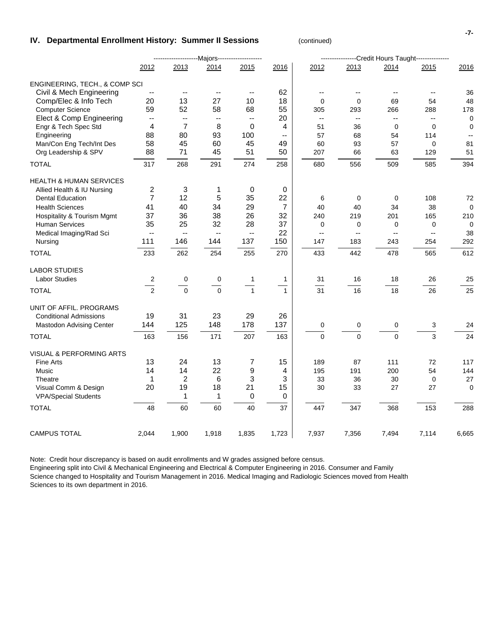#### **IV. Departmental Enrollment History: Summer II Sessions** (continued)

|                                                     |                          | ---------------------Majors------------------- |                          |                          |                   |                          |                          | ----------------Credit Hours Taught--------------- |                          |             |
|-----------------------------------------------------|--------------------------|------------------------------------------------|--------------------------|--------------------------|-------------------|--------------------------|--------------------------|----------------------------------------------------|--------------------------|-------------|
|                                                     | 2012                     | 2013                                           | 2014                     | 2015                     | 2016              | 2012                     | 2013                     | 2014                                               | 2015                     | 2016        |
| ENGINEERING, TECH., & COMP SCI                      |                          |                                                |                          |                          |                   |                          |                          |                                                    |                          |             |
| Civil & Mech Engineering                            |                          | $\overline{a}$                                 | $\overline{\phantom{a}}$ | $\overline{\phantom{a}}$ | 62                | $\overline{\phantom{a}}$ | $\overline{\phantom{a}}$ | $-$                                                | $\overline{a}$           | 36          |
| Comp/Elec & Info Tech                               | 20                       | 13                                             | 27                       | 10                       | 18                | $\mathbf 0$              | $\mathbf 0$              | 69                                                 | 54                       | 48          |
| <b>Computer Science</b>                             | 59                       | 52                                             | 58                       | 68                       | 55                | 305                      | 293                      | 266                                                | 288                      | 178         |
| Elect & Comp Engineering                            | $\overline{\phantom{a}}$ | $\overline{\phantom{a}}$                       | $\overline{\phantom{a}}$ | $\overline{\phantom{a}}$ | 20                | $\overline{\phantom{a}}$ | $\overline{\phantom{a}}$ | $\overline{\phantom{a}}$                           | $\overline{\phantom{a}}$ | $\mathbf 0$ |
| Engr & Tech Spec Std                                | 4                        | $\overline{7}$                                 | 8                        | $\Omega$                 | 4                 | 51                       | 36                       | $\Omega$                                           | $\Omega$                 | 0           |
| Engineering                                         | 88                       | 80                                             | 93                       | 100                      | $-$               | 57                       | 68                       | 54                                                 | 114                      |             |
| Man/Con Eng Tech/Int Des                            | 58                       | 45                                             | 60                       | 45                       | 49                | 60                       | 93                       | 57                                                 | 0                        | 81          |
| Org Leadership & SPV                                | 88                       | 71                                             | 45                       | 51                       | 50                | 207                      | 66                       | 63                                                 | 129                      | 51          |
| <b>TOTAL</b>                                        | 317                      | 268                                            | 291                      | 274                      | 258               | 680                      | 556                      | 509                                                | 585                      | 394         |
| <b>HEALTH &amp; HUMAN SERVICES</b>                  |                          |                                                |                          |                          |                   |                          |                          |                                                    |                          |             |
| Allied Health & IU Nursing                          | $\overline{c}$           | 3                                              | 1                        | 0                        | 0                 |                          |                          |                                                    |                          |             |
| <b>Dental Education</b>                             | $\overline{7}$           | 12                                             | 5                        | 35                       | 22                | 6                        | $\mathbf 0$              | $\mathbf 0$                                        | 108                      | 72          |
| <b>Health Sciences</b>                              | 41                       | 40                                             | 34                       | 29                       | $\overline{7}$    | 40                       | 40                       | 34                                                 | 38                       | 0           |
| <b>Hospitality &amp; Tourism Mgmt</b>               | 37                       | 36                                             | 38                       | 26                       | 32                | 240                      | 219                      | 201                                                | 165                      | 210         |
| <b>Human Services</b>                               | 35                       | 25                                             | 32                       | 28                       | 37                | 0                        | 0                        | 0                                                  | 0                        | $\Omega$    |
| Medical Imaging/Rad Sci                             | $\overline{\phantom{a}}$ | $\mathbf{u}$                                   | $\overline{\phantom{a}}$ | $\sim$                   | 22                | $\mathbf{u}$             | $\frac{1}{2}$            | $\frac{1}{2}$                                      | $\overline{\phantom{a}}$ | 38          |
| Nursing                                             | 111                      | 146                                            | 144                      | 137                      | 150               | 147                      | 183                      | 243                                                | 254                      | 292         |
| <b>TOTAL</b>                                        | 233                      | 262                                            | 254                      | 255                      | 270               | 433                      | 442                      | 478                                                | 565                      | 612         |
| <b>LABOR STUDIES</b>                                |                          |                                                |                          |                          |                   |                          |                          |                                                    |                          |             |
| <b>Labor Studies</b>                                | 2                        | 0                                              | 0                        | $\mathbf{1}$             | $\mathbf{1}$      | 31                       | 16                       | 18                                                 | 26                       | 25          |
| <b>TOTAL</b>                                        | $\overline{2}$           | $\mathbf 0$                                    | $\mathbf 0$              | $\overline{1}$           | $\mathbf{1}$      | 31                       | 16                       | 18                                                 | 26                       | 25          |
| UNIT OF AFFIL. PROGRAMS                             |                          |                                                |                          |                          |                   |                          |                          |                                                    |                          |             |
| <b>Conditional Admissions</b>                       | 19                       | 31                                             | 23                       | 29                       | 26                |                          |                          |                                                    |                          |             |
| <b>Mastodon Advising Center</b>                     | 144                      | 125                                            | 148                      | 178                      | 137               | $\pmb{0}$                | $\pmb{0}$                | $\pmb{0}$                                          | 3                        | 24          |
| <b>TOTAL</b>                                        | 163                      | 156                                            | 171                      | 207                      | 163               | $\mathbf 0$              | $\Omega$                 | $\mathbf 0$                                        | 3                        | 24          |
|                                                     |                          |                                                |                          |                          |                   |                          |                          |                                                    |                          |             |
| VISUAL & PERFORMING ARTS                            |                          |                                                |                          |                          |                   |                          |                          |                                                    |                          |             |
| <b>Fine Arts</b>                                    | 13                       | 24                                             | 13                       | 7                        | 15                | 189                      | 87                       | 111                                                | 72                       | 117         |
| Music                                               | 14                       | 14                                             | 22                       | 9                        | 4                 | 195                      | 191                      | 200                                                | 54                       | 144         |
| Theatre                                             | $\mathbf 1$              | $\overline{c}$                                 | 6                        | 3                        | 3                 | 33                       | 36                       | 30                                                 | $\mathbf 0$              | 27          |
| Visual Comm & Design<br><b>VPA/Special Students</b> | 20                       | 19<br>$\mathbf{1}$                             | 18<br>1                  | 21<br>0                  | 15<br>$\mathsf 0$ | 30                       | 33                       | 27                                                 | 27                       | $\mathbf 0$ |
| <b>TOTAL</b>                                        | 48                       | 60                                             | 60                       | 40                       | 37                | 447                      | 347                      | 368                                                | 153                      | 288         |
|                                                     |                          |                                                |                          |                          |                   |                          |                          |                                                    |                          |             |
| <b>CAMPUS TOTAL</b>                                 | 2,044                    | 1,900                                          | 1,918                    | 1,835                    | 1,723             | 7,937                    | 7,356                    | 7,494                                              | 7,114                    | 6,665       |

Note: Credit hour discrepancy is based on audit enrollments and W grades assigned before census. Engineering split into Civil & Mechanical Engineering and Electrical & Computer Engineering in 2016. Consumer and Family Science changed to Hospitality and Tourism Management in 2016. Medical Imaging and Radiologic Sciences moved from Health Sciences to its own department in 2016.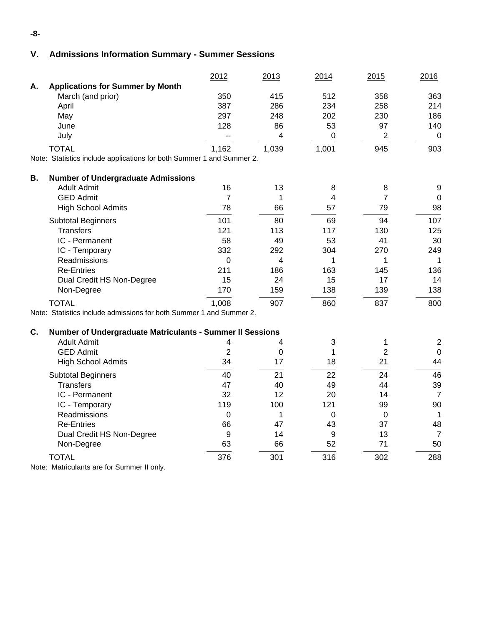## **V. Admissions Information Summary - Summer Sessions**

|                                                                        | 2012           | 2013  | 2014  | 2015           | 2016             |
|------------------------------------------------------------------------|----------------|-------|-------|----------------|------------------|
| <b>Applications for Summer by Month</b><br>А.                          |                |       |       |                |                  |
| March (and prior)                                                      | 350            | 415   | 512   | 358            | 363              |
| April                                                                  | 387            | 286   | 234   | 258            | 214              |
| May                                                                    | 297            | 248   | 202   | 230            | 186              |
| June                                                                   | 128            | 86    | 53    | 97             | 140              |
| July                                                                   | $-$            | 4     | 0     | $\overline{2}$ | $\mathbf 0$      |
| <b>TOTAL</b>                                                           | 1,162          | 1,039 | 1,001 | 945            | 903              |
| Note: Statistics include applications for both Summer 1 and Summer 2.  |                |       |       |                |                  |
| <b>B.</b><br><b>Number of Undergraduate Admissions</b>                 |                |       |       |                |                  |
| <b>Adult Admit</b>                                                     | 16             | 13    | 8     | 8              | 9                |
| <b>GED Admit</b>                                                       | 7              | 1     | 4     | 7              | 0                |
| <b>High School Admits</b>                                              | 78             | 66    | 57    | 79             | 98               |
| <b>Subtotal Beginners</b>                                              | 101            | 80    | 69    | 94             | 107              |
| <b>Transfers</b>                                                       | 121            | 113   | 117   | 130            | 125              |
| IC - Permanent                                                         | 58             | 49    | 53    | 41             | 30               |
| IC - Temporary                                                         | 332            | 292   | 304   | 270            | 249              |
| Readmissions                                                           | 0              | 4     | 1     | 1              | 1                |
| <b>Re-Entries</b>                                                      | 211            | 186   | 163   | 145            | 136              |
| Dual Credit HS Non-Degree                                              | 15             | 24    | 15    | 17             | 14               |
| Non-Degree                                                             | 170            | 159   | 138   | 139            | 138              |
| <b>TOTAL</b>                                                           | 1,008          | 907   | 860   | 837            | 800              |
| Note: Statistics include admissions for both Summer 1 and Summer 2.    |                |       |       |                |                  |
| C.<br><b>Number of Undergraduate Matriculants - Summer II Sessions</b> |                |       |       |                |                  |
| <b>Adult Admit</b>                                                     | 4              | 4     | 3     | 1              | $\mathbf 2$      |
| <b>GED Admit</b>                                                       | $\overline{2}$ | 0     | 1     | 2              | $\boldsymbol{0}$ |
| <b>High School Admits</b>                                              | 34             | 17    | 18    | 21             | 44               |
| <b>Subtotal Beginners</b>                                              | 40             | 21    | 22    | 24             | 46               |
| <b>Transfers</b>                                                       | 47             | 40    | 49    | 44             | 39               |
| IC - Permanent                                                         | 32             | 12    | 20    | 14             | $\overline{7}$   |
| IC - Temporary                                                         | 119            | 100   | 121   | 99             | 90               |
| Readmissions                                                           | 0              | 1     | 0     | $\mathbf 0$    | 1                |
| <b>Re-Entries</b>                                                      | 66             | 47    | 43    | 37             | 48               |
| Dual Credit HS Non-Degree                                              | 9              | 14    | 9     | 13             | $\overline{7}$   |
| Non-Degree                                                             | 63             | 66    | 52    | 71             | 50               |
| <b>TOTAL</b><br>Note: Matriculants are for Summer II only.             | 376            | 301   | 316   | 302            | 288              |

**-8-**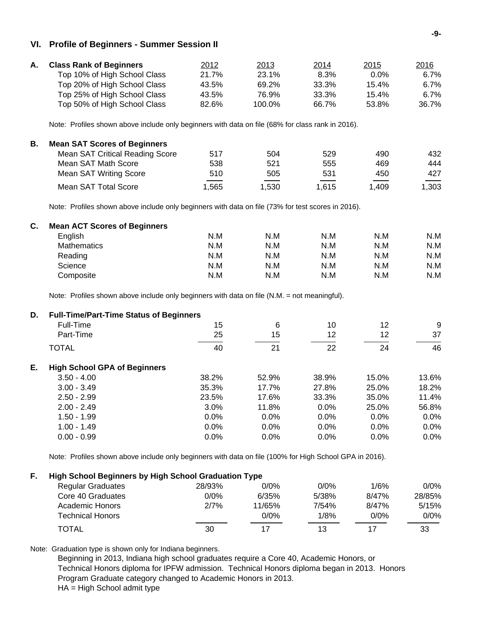#### **VI. Profile of Beginners - Summer Session II**

| А. | <b>Class Rank of Beginners</b> | 2012  | 2013   | <u>2014</u> | <u> 2015</u> | 2016  |
|----|--------------------------------|-------|--------|-------------|--------------|-------|
|    | Top 10% of High School Class   | 21.7% | 23.1%  | 8.3%        | $0.0\%$      | 6.7%  |
|    | Top 20% of High School Class   | 43.5% | 69.2%  | 33.3%       | 15.4%        | 6.7%  |
|    | Top 25% of High School Class   | 43.5% | 76.9%  | 33.3%       | 15.4%        | 6.7%  |
|    | Top 50% of High School Class   | 82.6% | 100.0% | 66.7%       | 53.8%        | 36.7% |

Note: Profiles shown above include only beginners with data on file (68% for class rank in 2016).

| В. | <b>Mean SAT Scores of Beginners</b>    |                                         |       |       |                                        |                                   |
|----|----------------------------------------|-----------------------------------------|-------|-------|----------------------------------------|-----------------------------------|
|    | <b>Mean SAT Critical Reading Score</b> | 517                                     | 504   | 529   | 490                                    | 432                               |
|    | Mean SAT Math Score                    | 538                                     | 521   | 555   | 469                                    | 444                               |
|    | <b>Mean SAT Writing Score</b>          | 510                                     | 505   | 531   | 450                                    | 427                               |
|    | Mean SAT Total Score                   | and the control of the control<br>l.565 | 1.530 | 1,615 | the control of the control of<br>1.409 | $\overline{\phantom{a}}$<br>1,303 |

Note: Profiles shown above include only beginners with data on file (73% for test scores in 2016).

| <b>Mean ACT Scores of Beginners</b> |     |     |     |     |     |
|-------------------------------------|-----|-----|-----|-----|-----|
| English                             | N.M | N.M | N.M | N.M | N.M |
| Mathematics                         | N.M | N.M | N.M | N.M | N.M |
| Reading                             | N.M | N.M | N.M | N.M | N.M |
| Science                             | N.M | N.M | N.M | N.M | N.M |
| Composite                           | N.M | N.M | N.M | N.M | N.M |
|                                     |     |     |     |     |     |

Note: Profiles shown above include only beginners with data on file (N.M. = not meaningful).

| D. | <b>Full-Time/Part-Time Status of Beginners</b> |         |       |       |       |         |
|----|------------------------------------------------|---------|-------|-------|-------|---------|
|    | Full-Time                                      | 15      | 6     | 10    | 12    | 9       |
|    | Part-Time                                      | 25      | 15    | 12    | 12    | 37      |
|    | <b>TOTAL</b>                                   | 40      | 21    | 22    | 24    | 46      |
| Е. | <b>High School GPA of Beginners</b>            |         |       |       |       |         |
|    | $3.50 - 4.00$                                  | 38.2%   | 52.9% | 38.9% | 15.0% | 13.6%   |
|    | $3.00 - 3.49$                                  | 35.3%   | 17.7% | 27.8% | 25.0% | 18.2%   |
|    | $2.50 - 2.99$                                  | 23.5%   | 17.6% | 33.3% | 35.0% | 11.4%   |
|    | $2.00 - 2.49$                                  | $3.0\%$ | 11.8% | 0.0%  | 25.0% | 56.8%   |
|    | $1.50 - 1.99$                                  | 0.0%    | 0.0%  | 0.0%  | 0.0%  | 0.0%    |
|    | $1.00 - 1.49$                                  | 0.0%    | 0.0%  | 0.0%  | 0.0%  | 0.0%    |
|    | $0.00 - 0.99$                                  | 0.0%    | 0.0%  | 0.0%  | 0.0%  | $0.0\%$ |

Note: Profiles shown above include only beginners with data on file (100% for High School GPA in 2016).

## **F. High School Beginners by High School Graduation Type**

| <b>Regular Graduates</b> | 28/93% | 0/0%    | $0/0\%$ | 1/6%    | $0/0\%$ |
|--------------------------|--------|---------|---------|---------|---------|
| Core 40 Graduates        | 0/0%   | 6/35%   | 5/38%   | 8/47%   | 28/85%  |
| Academic Honors          | 2/7%   | 11/65%  | 7/54%   | 8/47%   | 5/15%   |
| Technical Honors         |        | $0/0\%$ | 1/8%    | $0/0\%$ | $0/0\%$ |
| <b>TOTAL</b>             | 30     |         | 13      | 17      | 33      |

Note: Graduation type is shown only for Indiana beginners.

 Beginning in 2013, Indiana high school graduates require a Core 40, Academic Honors, or Technical Honors diploma for IPFW admission. Technical Honors diploma began in 2013. Honors Program Graduate category changed to Academic Honors in 2013. HA = High School admit type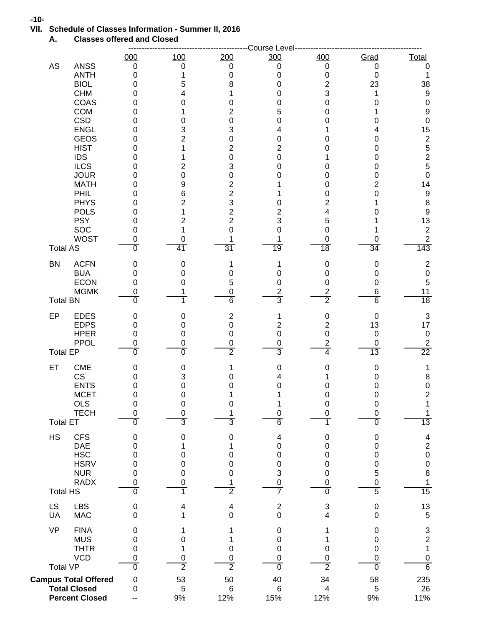## **VII. Schedule of Classes Information - Summer II, 2016**

**A. Classes offered and Closed**

|                                                |                             |                               |                         | Course Level                 |                                |                                 |                                       |
|------------------------------------------------|-----------------------------|-------------------------------|-------------------------|------------------------------|--------------------------------|---------------------------------|---------------------------------------|
| AS<br><b>ANSS</b>                              | 000<br>$\mathbf 0$          | 100<br>$\mathbf 0$            | 200<br>$\pmb{0}$        | 300<br>0                     | 400<br>$\mathbf 0$             | Grad<br>0                       | <b>Total</b><br>0                     |
| <b>ANTH</b>                                    | 0                           | 1                             | 0                       | 0                            | $\pmb{0}$                      | 0                               | 1                                     |
| <b>BIOL</b>                                    | 0                           | 5                             | 8                       | 0                            | $\overline{c}$                 | 23                              | 38                                    |
| <b>CHM</b>                                     | 0                           | 4                             |                         | 0                            | 3                              | 1                               | $\boldsymbol{9}$                      |
| COAS<br><b>COM</b>                             | 0<br>0                      | 0<br>1                        | 0<br>$\overline{c}$     | 0<br>5                       | 0<br>0                         | 0<br>1                          | $\pmb{0}$<br>$\boldsymbol{9}$         |
| <b>CSD</b>                                     | 0                           | 0                             | 0                       | 0                            | 0                              | 0                               | $\pmb{0}$                             |
| <b>ENGL</b>                                    | 0                           | 3                             | 3                       | 4                            | 1                              | 4                               | 15                                    |
| <b>GEOS</b>                                    | 0                           | $\overline{\mathbf{c}}$       | 0                       | 0                            | 0                              | 0                               | 25250                                 |
| <b>HIST</b><br><b>IDS</b>                      | 0                           | 1                             | $\overline{2}$          | $\overline{c}$               | 0<br>1                         | 0                               |                                       |
| <b>ILCS</b>                                    | 0<br>0                      | 1<br>2                        | 0<br>3                  | 0<br>0                       | 0                              | 0<br>0                          |                                       |
| <b>JOUR</b>                                    | 0                           | $\mathbf 0$                   | 0                       | 0                            | 0                              | 0                               |                                       |
| <b>MATH</b>                                    | 0                           | 9                             | $\mathbf{2}$            |                              | 0                              | 2                               | 14                                    |
| PHIL                                           | 0                           | 6                             | $\overline{c}$          | 1                            | 0                              | 0                               | $\boldsymbol{9}$                      |
| <b>PHYS</b><br><b>POLS</b>                     | 0<br>0                      | 2<br>1                        | 3<br>$\overline{c}$     | 0<br>2                       | 2<br>4                         | 0                               | $\bf8$<br>$\overline{9}$              |
| <b>PSY</b>                                     | 0                           | 2                             | $\overline{2}$          | 3                            | 5                              |                                 | 13                                    |
| SOC                                            | 0                           | 1                             | 0                       | 0                            | $\mathbf 0$                    |                                 | $\overline{2}$                        |
| <b>WOST</b>                                    | 0                           | 0                             |                         |                              | 0                              | 0                               | $\overline{2}$                        |
| <b>Total AS</b>                                | $\overline{0}$              | 41                            | $\overline{31}$         | 19                           | $\overline{18}$                | 34                              | 143                                   |
| <b>ACFN</b><br><b>BN</b>                       | 0                           | 0                             | 1                       | 1                            | $\pmb{0}$                      | $\mathbf 0$                     | $\boldsymbol{2}$<br>$\pmb{0}$         |
| <b>BUA</b><br><b>ECON</b>                      | 0<br>0                      | 0<br>0                        | 0<br>5                  | 0<br>0                       | 0<br>0                         | 0<br>$\mathbf 0$                | 5                                     |
| <b>MGMK</b>                                    | 0                           |                               | 0                       | $\boldsymbol{2}$             | $\overline{\mathbf{c}}$        | 6                               | 11                                    |
| <b>Total BN</b>                                | 0                           |                               | $\overline{6}$          | 3                            | $\overline{2}$                 | 6                               | 18                                    |
| EP<br><b>EDES</b>                              | 0                           | 0                             | $\overline{\mathbf{c}}$ | 1                            | $\pmb{0}$                      | $\mathbf 0$                     | $\sqrt{3}$                            |
| <b>EDPS</b><br><b>HPER</b>                     | $\mathbf 0$                 | $\mathbf 0$                   | $\pmb{0}$               | $\mathbf{2}$                 | $\overline{c}$                 | 13                              | 17                                    |
| <b>PPOL</b>                                    | 0<br>0                      | $\mathbf 0$<br>0              | 0<br>0                  | $\mathbf 0$<br>0             | $\pmb{0}$<br>$\overline{c}$    | $\boldsymbol{0}$<br>$\mathbf 0$ | $\pmb{0}$                             |
| <b>Total EP</b>                                | $\overline{0}$              | $\overline{0}$                | 2                       | 3                            | 4                              | $\overline{13}$                 | $\frac{2}{22}$                        |
| ET<br><b>CME</b>                               | 0                           | 0                             | 1                       | 0                            | 0                              | $\mathbf 0$                     | 1                                     |
| CS                                             | 0                           | 3                             | 0                       | 4                            |                                | 0                               | 8                                     |
| <b>ENTS</b><br><b>MCET</b>                     | 0<br>0                      | 0<br>0                        | 0                       | 0<br>1                       | 0<br>0                         | 0<br>0                          | $\pmb{0}$<br>$\mathbf 2$              |
| OLS                                            | 0                           | $\pmb{0}$                     | 0                       | 1                            | 0                              | $\boldsymbol{0}$                | 1                                     |
| <b>TECH</b>                                    | 0                           | $\mathbf 0$                   |                         | 0                            | 0                              | $\mathbf 0$                     | 1                                     |
| <b>Total ET</b>                                | $\overline{0}$              | $\overline{3}$                | 3                       | 6                            | 1                              | $\overline{0}$                  | 13                                    |
| <b>HS</b><br><b>CFS</b>                        | $\mathbf 0$                 | 0                             | 0                       | 4                            | 0                              | $\mathbf 0$                     | $\overline{\mathbf{4}}$               |
| <b>DAE</b><br><b>HSC</b>                       | 0<br>0                      | 1<br>0                        | 1<br>0                  | 0<br>0                       | 0<br>0                         | $\mathbf 0$<br>$\mathbf 0$      | $\begin{array}{c} 2 \\ 0 \end{array}$ |
| <b>HSRV</b>                                    | 0                           | 0                             | 0                       | 0                            | 0                              | 0                               | $\pmb{0}$                             |
| <b>NUR</b>                                     | 0                           | 0                             | 0                       | 3                            | 0                              | 5                               | $\,8\,$                               |
| <b>RADX</b>                                    | 0                           | 0                             |                         | 0                            | 0                              | $\pmb{0}$                       | $\mathbf{1}$                          |
| <b>Total HS</b>                                | $\overline{0}$              | 1                             | 2                       | 7                            | $\overline{0}$                 | $\overline{5}$                  | 15                                    |
| LS<br><b>LBS</b><br>UA<br><b>MAC</b>           | $\mathbf 0$<br>0            | 4<br>1                        | 4<br>0                  | $\overline{\mathbf{c}}$<br>0 | $\ensuremath{\mathsf{3}}$<br>4 | $\mathbf 0$<br>0                | 13<br>5                               |
| <b>VP</b><br><b>FINA</b>                       |                             |                               |                         |                              |                                | $\mathbf 0$                     |                                       |
| <b>MUS</b>                                     | 0<br>0                      | 0                             |                         | 0<br>0                       | 1<br>1                         | 0                               | $\frac{3}{2}$                         |
| <b>THTR</b>                                    | 0                           | 1                             | 0                       | 0                            | 0                              | 0                               | $\mathbf{1}$                          |
| <b>VCD</b>                                     | 0                           | $\mathbf 0$<br>$\overline{2}$ | 0                       | 0                            | 0                              | 0                               | $\pmb{0}$                             |
| <b>Total VP</b><br><b>Campus Total Offered</b> | $\overline{0}$<br>$\pmb{0}$ | 53                            | $\overline{2}$<br>50    | $\overline{0}$<br>40         | $\overline{2}$<br>34           | $\overline{0}$<br>58            | $6\overline{6}$<br>235                |
| <b>Total Closed</b>                            | 0                           | 5                             | $6\phantom{1}6$         | $\,6$                        | 4                              | 5                               | 26                                    |
| <b>Percent Closed</b>                          |                             | 9%                            | 12%                     | 15%                          | 12%                            | $9%$                            | 11%                                   |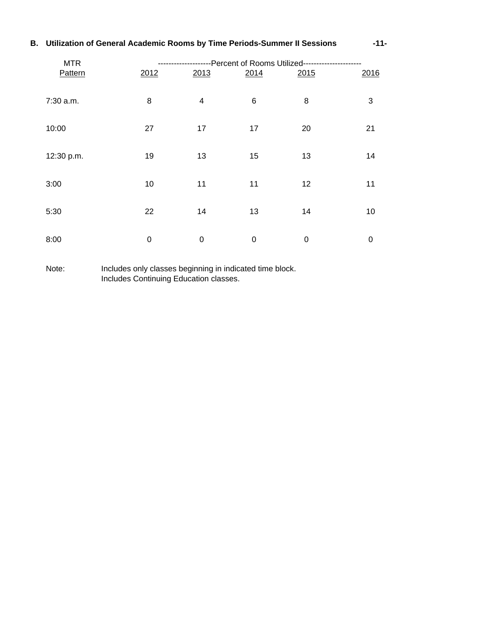## **B. Utilization of General Academic Rooms by Time Periods-Summer II Sessions -11-**

| <b>MTR</b> | ----Percent of Rooms Utilized-----<br>---------------- |                |             |      |             |  |
|------------|--------------------------------------------------------|----------------|-------------|------|-------------|--|
| Pattern    | 2012                                                   | 2013           | 2014        | 2015 | 2016        |  |
| 7:30 a.m.  | 8                                                      | $\overline{4}$ | $\,6$       | 8    | 3           |  |
| 10:00      | 27                                                     | 17             | 17          | 20   | 21          |  |
| 12:30 p.m. | 19                                                     | 13             | 15          | 13   | 14          |  |
| 3:00       | 10                                                     | 11             | 11          | 12   | 11          |  |
| 5:30       | 22                                                     | 14             | 13          | 14   | 10          |  |
| 8:00       | $\mathbf 0$                                            | $\mathbf 0$    | $\mathbf 0$ | 0    | $\mathbf 0$ |  |

Note: Includes only classes beginning in indicated time block. Includes Continuing Education classes.